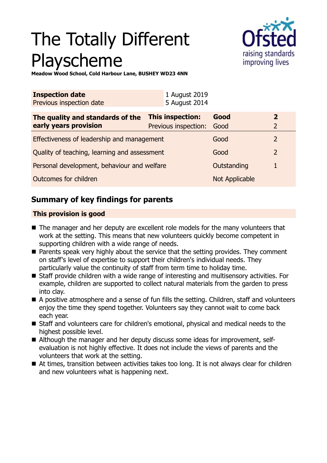# The Totally Different Playscheme



**Meadow Wood School, Cold Harbour Lane, BUSHEY WD23 4NN**

| <b>Inspection date</b><br>Previous inspection date | 1 August 2019<br>5 August 2014 |                |                |
|----------------------------------------------------|--------------------------------|----------------|----------------|
| The quality and standards of the                   | This inspection:               | Good           | $\overline{2}$ |
| early years provision                              | Previous inspection:           | Good           | 2              |
| Effectiveness of leadership and management         |                                | Good           | $\overline{2}$ |
| Quality of teaching, learning and assessment       |                                | Good           | $\overline{2}$ |
| Personal development, behaviour and welfare        |                                | Outstanding    |                |
| Outcomes for children                              |                                | Not Applicable |                |

## **Summary of key findings for parents**

#### **This provision is good**

- $\blacksquare$  The manager and her deputy are excellent role models for the many volunteers that work at the setting. This means that new volunteers quickly become competent in supporting children with a wide range of needs.
- Parents speak very highly about the service that the setting provides. They comment on staff's level of expertise to support their children's individual needs. They particularly value the continuity of staff from term time to holiday time.
- Staff provide children with a wide range of interesting and multisensory activities. For example, children are supported to collect natural materials from the garden to press into clay.
- A positive atmosphere and a sense of fun fills the setting. Children, staff and volunteers enjoy the time they spend together. Volunteers say they cannot wait to come back each year.
- Staff and volunteers care for children's emotional, physical and medical needs to the highest possible level.
- Although the manager and her deputy discuss some ideas for improvement, selfevaluation is not highly effective. It does not include the views of parents and the volunteers that work at the setting.
- $\blacksquare$  At times, transition between activities takes too long. It is not always clear for children and new volunteers what is happening next.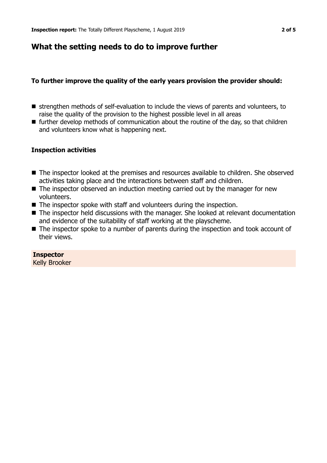## **What the setting needs to do to improve further**

#### **To further improve the quality of the early years provision the provider should:**

- strengthen methods of self-evaluation to include the views of parents and volunteers, to raise the quality of the provision to the highest possible level in all areas
- $\blacksquare$  further develop methods of communication about the routine of the day, so that children and volunteers know what is happening next.

#### **Inspection activities**

- The inspector looked at the premises and resources available to children. She observed activities taking place and the interactions between staff and children.
- $\blacksquare$  The inspector observed an induction meeting carried out by the manager for new volunteers.
- $\blacksquare$  The inspector spoke with staff and volunteers during the inspection.
- The inspector held discussions with the manager. She looked at relevant documentation and evidence of the suitability of staff working at the playscheme.
- $\blacksquare$  The inspector spoke to a number of parents during the inspection and took account of their views.

#### **Inspector**

Kelly Brooker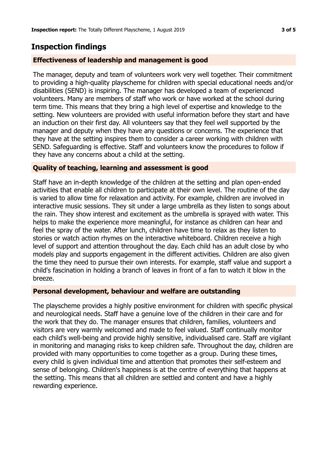## **Inspection findings**

#### **Effectiveness of leadership and management is good**

The manager, deputy and team of volunteers work very well together. Their commitment to providing a high-quality playscheme for children with special educational needs and/or disabilities (SEND) is inspiring. The manager has developed a team of experienced volunteers. Many are members of staff who work or have worked at the school during term time. This means that they bring a high level of expertise and knowledge to the setting. New volunteers are provided with useful information before they start and have an induction on their first day. All volunteers say that they feel well supported by the manager and deputy when they have any questions or concerns. The experience that they have at the setting inspires them to consider a career working with children with SEND. Safeguarding is effective. Staff and volunteers know the procedures to follow if they have any concerns about a child at the setting.

#### **Quality of teaching, learning and assessment is good**

Staff have an in-depth knowledge of the children at the setting and plan open-ended activities that enable all children to participate at their own level. The routine of the day is varied to allow time for relaxation and activity. For example, children are involved in interactive music sessions. They sit under a large umbrella as they listen to songs about the rain. They show interest and excitement as the umbrella is sprayed with water. This helps to make the experience more meaningful, for instance as children can hear and feel the spray of the water. After lunch, children have time to relax as they listen to stories or watch action rhymes on the interactive whiteboard. Children receive a high level of support and attention throughout the day. Each child has an adult close by who models play and supports engagement in the different activities. Children are also given the time they need to pursue their own interests. For example, staff value and support a child's fascination in holding a branch of leaves in front of a fan to watch it blow in the breeze.

#### **Personal development, behaviour and welfare are outstanding**

The playscheme provides a highly positive environment for children with specific physical and neurological needs. Staff have a genuine love of the children in their care and for the work that they do. The manager ensures that children, families, volunteers and visitors are very warmly welcomed and made to feel valued. Staff continually monitor each child's well-being and provide highly sensitive, individualised care. Staff are vigilant in monitoring and managing risks to keep children safe. Throughout the day, children are provided with many opportunities to come together as a group. During these times, every child is given individual time and attention that promotes their self-esteem and sense of belonging. Children's happiness is at the centre of everything that happens at the setting. This means that all children are settled and content and have a highly rewarding experience.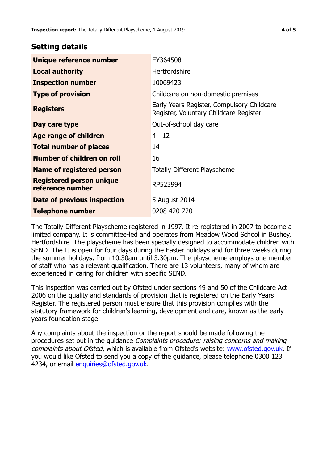### **Setting details**

| Unique reference number                             | EY364508                                                                             |  |
|-----------------------------------------------------|--------------------------------------------------------------------------------------|--|
| <b>Local authority</b>                              | <b>Hertfordshire</b>                                                                 |  |
| <b>Inspection number</b>                            | 10069423                                                                             |  |
| <b>Type of provision</b>                            | Childcare on non-domestic premises                                                   |  |
| <b>Registers</b>                                    | Early Years Register, Compulsory Childcare<br>Register, Voluntary Childcare Register |  |
| Day care type                                       | Out-of-school day care                                                               |  |
| <b>Age range of children</b>                        | $4 - 12$                                                                             |  |
| <b>Total number of places</b>                       | 14                                                                                   |  |
| Number of children on roll                          | 16                                                                                   |  |
| Name of registered person                           | <b>Totally Different Playscheme</b>                                                  |  |
| <b>Registered person unique</b><br>reference number | RP523994                                                                             |  |
| Date of previous inspection                         | 5 August 2014                                                                        |  |
| <b>Telephone number</b>                             | 0208 420 720                                                                         |  |

The Totally Different Playscheme registered in 1997. It re-registered in 2007 to become a limited company. It is committee-led and operates from Meadow Wood School in Bushey, Hertfordshire. The playscheme has been specially designed to accommodate children with SEND. The It is open for four days during the Easter holidays and for three weeks during the summer holidays, from 10.30am until 3.30pm. The playscheme employs one member of staff who has a relevant qualification. There are 13 volunteers, many of whom are experienced in caring for children with specific SEND.

This inspection was carried out by Ofsted under sections 49 and 50 of the Childcare Act 2006 on the quality and standards of provision that is registered on the Early Years Register. The registered person must ensure that this provision complies with the statutory framework for children's learning, development and care, known as the early years foundation stage.

Any complaints about the inspection or the report should be made following the procedures set out in the guidance Complaints procedure: raising concerns and making complaints about Ofsted, which is available from Ofsted's website: www.ofsted.gov.uk. If you would like Ofsted to send you a copy of the guidance, please telephone 0300 123 4234, or email [enquiries@ofsted.gov.uk.](mailto:enquiries@ofsted.gov.uk)